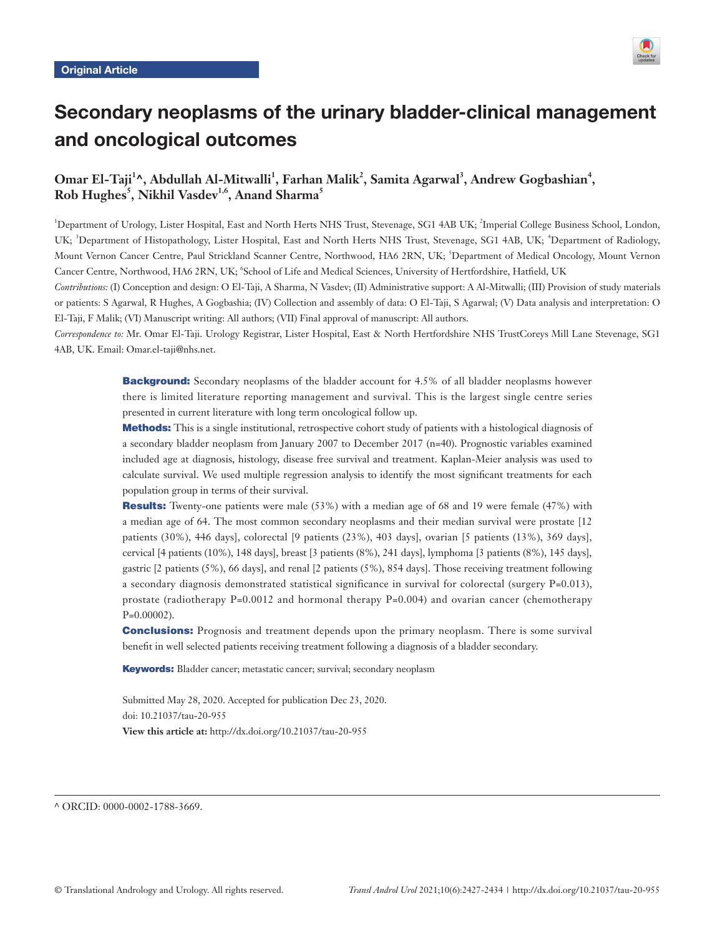

# Secondary neoplasms of the urinary bladder-clinical management and oncological outcomes

## Omar El-Taji<sup>1</sup>^, Abdullah Al-Mitwalli<sup>1</sup>, Farhan Malik<sup>2</sup>, Samita Agarwal<sup>3</sup>, Andrew Gogbashian<sup>4</sup>,  ${\mathop{\mathrm{Rob}}\nolimits} \operatorname{Hughes}^5,$  Nikhil Vasdev $^{1,6},$  Anand Sharma $^5$

<sup>1</sup>Department of Urology, Lister Hospital, East and North Herts NHS Trust, Stevenage, SG1 4AB UK; <sup>2</sup>Imperial College Business School, London, UK; <sup>3</sup>Department of Histopathology, Lister Hospital, East and North Herts NHS Trust, Stevenage, SG1 4AB, UK; <sup>4</sup>Department of Radiology, Mount Vernon Cancer Centre, Paul Strickland Scanner Centre, Northwood, HA6 2RN, UK; <sup>5</sup>Department of Medical Oncology, Mount Vernon Cancer Centre, Northwood, HA6 2RN, UK; <sup>6</sup>School of Life and Medical Sciences, University of Hertfordshire, Hatfield, UK

*Contributions:* (I) Conception and design: O El-Taji, A Sharma, N Vasdev; (II) Administrative support: A Al-Mitwalli; (III) Provision of study materials or patients: S Agarwal, R Hughes, A Gogbashia; (IV) Collection and assembly of data: O El-Taji, S Agarwal; (V) Data analysis and interpretation: O El-Taji, F Malik; (VI) Manuscript writing: All authors; (VII) Final approval of manuscript: All authors.

*Correspondence to:* Mr. Omar El-Taji. Urology Registrar, Lister Hospital, East & North Hertfordshire NHS TrustCoreys Mill Lane Stevenage, SG1 4AB, UK. Email: Omar.el-taji@nhs.net.

> **Background:** Secondary neoplasms of the bladder account for 4.5% of all bladder neoplasms however there is limited literature reporting management and survival. This is the largest single centre series presented in current literature with long term oncological follow up.

> Methods: This is a single institutional, retrospective cohort study of patients with a histological diagnosis of a secondary bladder neoplasm from January 2007 to December 2017 (n=40). Prognostic variables examined included age at diagnosis, histology, disease free survival and treatment. Kaplan-Meier analysis was used to calculate survival. We used multiple regression analysis to identify the most significant treatments for each population group in terms of their survival.

> Results: Twenty-one patients were male (53%) with a median age of 68 and 19 were female (47%) with a median age of 64. The most common secondary neoplasms and their median survival were prostate [12 patients (30%), 446 days], colorectal [9 patients (23%), 403 days], ovarian [5 patients (13%), 369 days], cervical [4 patients (10%), 148 days], breast [3 patients (8%), 241 days], lymphoma [3 patients (8%), 145 days], gastric [2 patients (5%), 66 days], and renal [2 patients (5%), 854 days]. Those receiving treatment following a secondary diagnosis demonstrated statistical significance in survival for colorectal (surgery P=0.013), prostate (radiotherapy  $P=0.0012$  and hormonal therapy  $P=0.004$ ) and ovarian cancer (chemotherapy P=0.00002).

> **Conclusions:** Prognosis and treatment depends upon the primary neoplasm. There is some survival benefit in well selected patients receiving treatment following a diagnosis of a bladder secondary.

Keywords: Bladder cancer; metastatic cancer; survival; secondary neoplasm

Submitted May 28, 2020. Accepted for publication Dec 23, 2020. doi: 10.21037/tau-20-955 **View this article at:** http://dx.doi.org/10.21037/tau-20-955

^ ORCID: 0000-0002-1788-3669.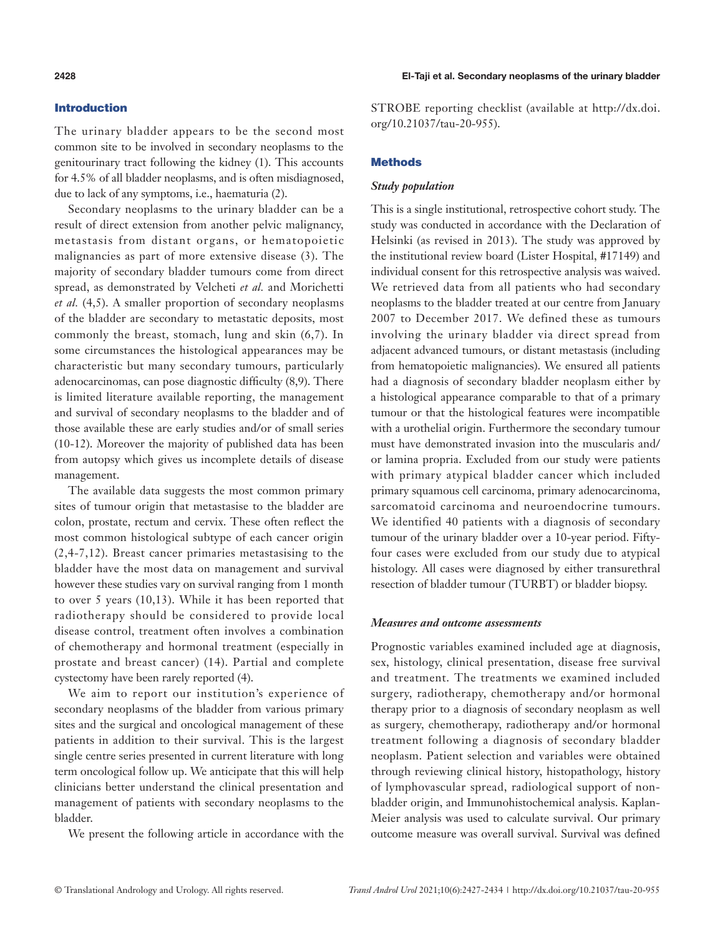### Introduction

The urinary bladder appears to be the second most common site to be involved in secondary neoplasms to the genitourinary tract following the kidney (1). This accounts for 4.5% of all bladder neoplasms, and is often misdiagnosed, due to lack of any symptoms, i.e., haematuria (2).

Secondary neoplasms to the urinary bladder can be a result of direct extension from another pelvic malignancy, metastasis from distant organs, or hematopoietic malignancies as part of more extensive disease (3). The majority of secondary bladder tumours come from direct spread, as demonstrated by Velcheti *et al.* and Morichetti *et al.* (4,5). A smaller proportion of secondary neoplasms of the bladder are secondary to metastatic deposits, most commonly the breast, stomach, lung and skin (6,7). In some circumstances the histological appearances may be characteristic but many secondary tumours, particularly adenocarcinomas, can pose diagnostic difficulty (8,9). There is limited literature available reporting, the management and survival of secondary neoplasms to the bladder and of those available these are early studies and/or of small series (10-12). Moreover the majority of published data has been from autopsy which gives us incomplete details of disease management.

The available data suggests the most common primary sites of tumour origin that metastasise to the bladder are colon, prostate, rectum and cervix. These often reflect the most common histological subtype of each cancer origin (2,4-7,12). Breast cancer primaries metastasising to the bladder have the most data on management and survival however these studies vary on survival ranging from 1 month to over 5 years (10,13). While it has been reported that radiotherapy should be considered to provide local disease control, treatment often involves a combination of chemotherapy and hormonal treatment (especially in prostate and breast cancer) (14). Partial and complete cystectomy have been rarely reported (4).

We aim to report our institution's experience of secondary neoplasms of the bladder from various primary sites and the surgical and oncological management of these patients in addition to their survival. This is the largest single centre series presented in current literature with long term oncological follow up. We anticipate that this will help clinicians better understand the clinical presentation and management of patients with secondary neoplasms to the bladder.

We present the following article in accordance with the

**2428** El-Taji et al. Secondary neoplasms of the urinary bladder

STROBE reporting checklist (available at [http://dx.doi.](http://dx.doi.org/10.21037/tau-20-955) [org/10.21037/tau-20-955](http://dx.doi.org/10.21037/tau-20-955)).

#### **Methods**

#### *Study population*

This is a single institutional, retrospective cohort study. The study was conducted in accordance with the Declaration of Helsinki (as revised in 2013). The study was approved by the institutional review board (Lister Hospital, #17149) and individual consent for this retrospective analysis was waived. We retrieved data from all patients who had secondary neoplasms to the bladder treated at our centre from January 2007 to December 2017. We defined these as tumours involving the urinary bladder via direct spread from adjacent advanced tumours, or distant metastasis (including from hematopoietic malignancies). We ensured all patients had a diagnosis of secondary bladder neoplasm either by a histological appearance comparable to that of a primary tumour or that the histological features were incompatible with a urothelial origin. Furthermore the secondary tumour must have demonstrated invasion into the muscularis and/ or lamina propria. Excluded from our study were patients with primary atypical bladder cancer which included primary squamous cell carcinoma, primary adenocarcinoma, sarcomatoid carcinoma and neuroendocrine tumours. We identified 40 patients with a diagnosis of secondary tumour of the urinary bladder over a 10-year period. Fiftyfour cases were excluded from our study due to atypical histology. All cases were diagnosed by either transurethral resection of bladder tumour (TURBT) or bladder biopsy.

#### *Measures and outcome assessments*

Prognostic variables examined included age at diagnosis, sex, histology, clinical presentation, disease free survival and treatment. The treatments we examined included surgery, radiotherapy, chemotherapy and/or hormonal therapy prior to a diagnosis of secondary neoplasm as well as surgery, chemotherapy, radiotherapy and/or hormonal treatment following a diagnosis of secondary bladder neoplasm. Patient selection and variables were obtained through reviewing clinical history, histopathology, history of lymphovascular spread, radiological support of nonbladder origin, and Immunohistochemical analysis. Kaplan-Meier analysis was used to calculate survival. Our primary outcome measure was overall survival. Survival was defined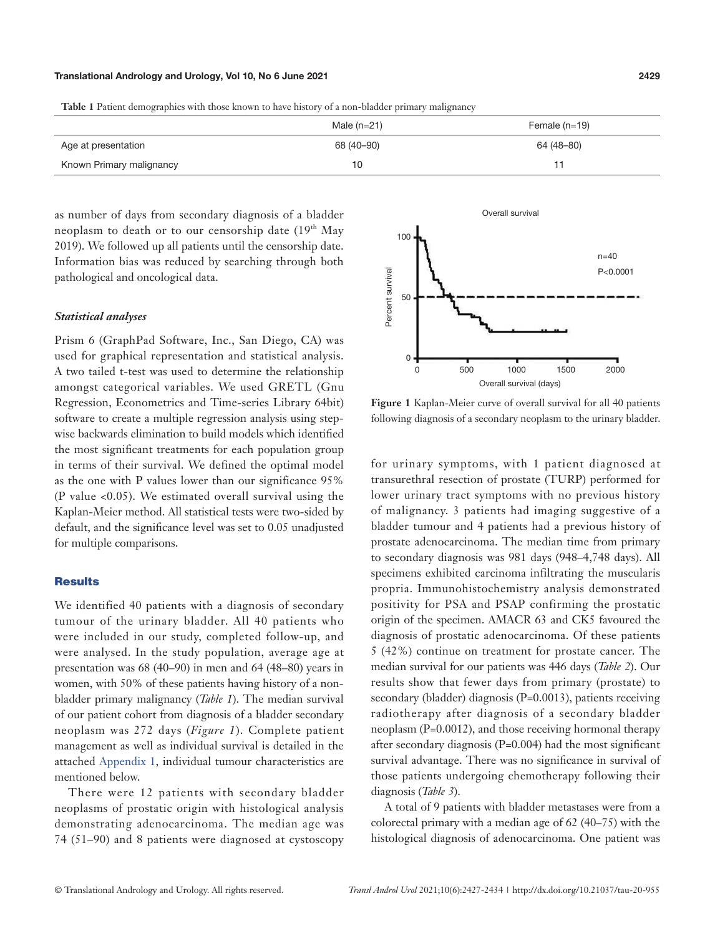#### Translational Andrology and Urology, Vol 10, No 6 June 2021 **2429**

**Table 1** Patient demographics with those known to have history of a non-bladder primary malignancy

|                          | Male $(n=21)$ | Female $(n=19)$ |
|--------------------------|---------------|-----------------|
| Age at presentation      | 68 (40-90)    | 64 (48–80)      |
| Known Primary malignancy | 10            |                 |

as number of days from secondary diagnosis of a bladder neoplasm to death or to our censorship date  $(19<sup>th</sup>$  May 2019). We followed up all patients until the censorship date. Information bias was reduced by searching through both pathological and oncological data.

#### *Statistical analyses*

Prism 6 (GraphPad Software, Inc., San Diego, CA) was used for graphical representation and statistical analysis. A two tailed t-test was used to determine the relationship amongst categorical variables. We used GRETL (Gnu Regression, Econometrics and Time-series Library 64bit) software to create a multiple regression analysis using stepwise backwards elimination to build models which identified the most significant treatments for each population group in terms of their survival. We defined the optimal model as the one with P values lower than our significance 95% (P value <0.05). We estimated overall survival using the Kaplan-Meier method. All statistical tests were two-sided by default, and the significance level was set to 0.05 unadjusted for multiple comparisons.

### **Results**

We identified 40 patients with a diagnosis of secondary tumour of the urinary bladder. All 40 patients who were included in our study, completed follow-up, and were analysed. In the study population, average age at presentation was 68 (40–90) in men and 64 (48–80) years in women, with 50% of these patients having history of a nonbladder primary malignancy (*Table 1*). The median survival of our patient cohort from diagnosis of a bladder secondary neoplasm was 272 days (*Figure 1*). Complete patient management as well as individual survival is detailed in the attached [Appendix 1,](https://cdn.amegroups.cn/static/public/TAU-20-955-supplementary.pdf) individual tumour characteristics are mentioned below.

There were 12 patients with secondary bladder neoplasms of prostatic origin with histological analysis demonstrating adenocarcinoma. The median age was 74 (51–90) and 8 patients were diagnosed at cystoscopy



**Figure 1** Kaplan-Meier curve of overall survival for all 40 patients following diagnosis of a secondary neoplasm to the urinary bladder.

for urinary symptoms, with 1 patient diagnosed at transurethral resection of prostate (TURP) performed for lower urinary tract symptoms with no previous history of malignancy. 3 patients had imaging suggestive of a bladder tumour and 4 patients had a previous history of prostate adenocarcinoma. The median time from primary to secondary diagnosis was 981 days (948–4,748 days). All specimens exhibited carcinoma infiltrating the muscularis propria. Immunohistochemistry analysis demonstrated positivity for PSA and PSAP confirming the prostatic origin of the specimen. AMACR 63 and CK5 favoured the diagnosis of prostatic adenocarcinoma. Of these patients 5 (42%) continue on treatment for prostate cancer. The median survival for our patients was 446 days (*Table 2*). Our results show that fewer days from primary (prostate) to secondary (bladder) diagnosis (P=0.0013), patients receiving radiotherapy after diagnosis of a secondary bladder neoplasm (P=0.0012), and those receiving hormonal therapy after secondary diagnosis (P=0.004) had the most significant survival advantage. There was no significance in survival of those patients undergoing chemotherapy following their diagnosis (*Table 3*).

A total of 9 patients with bladder metastases were from a colorectal primary with a median age of 62 (40–75) with the histological diagnosis of adenocarcinoma. One patient was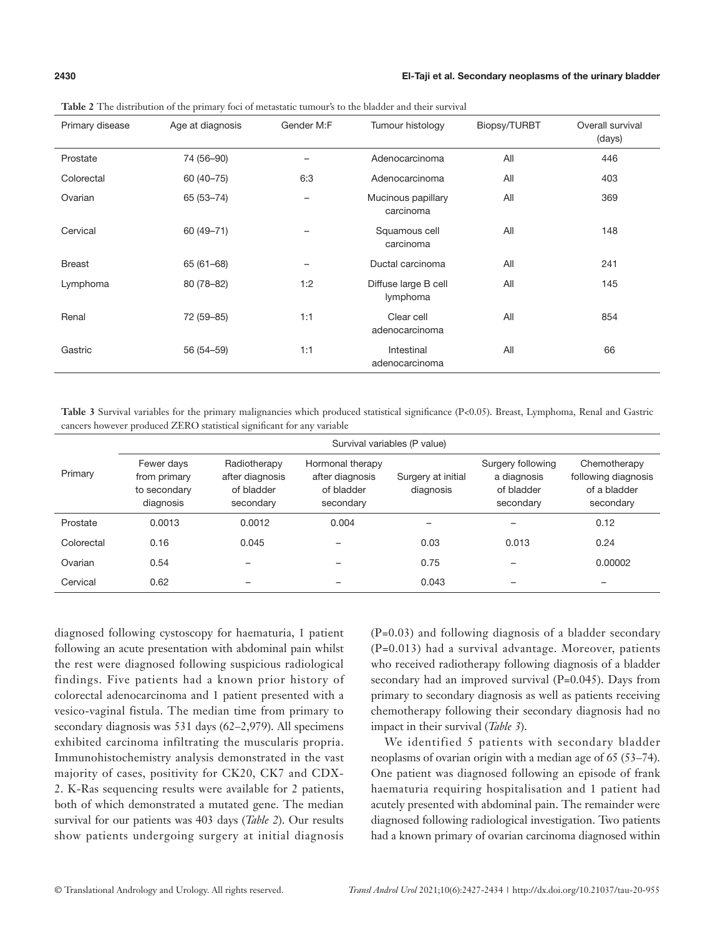#### **2430** El-Taji et al. Secondary neoplasms of the urinary bladder

| Primary disease | Age at diagnosis | Gender M:F | Tumour histology                 | Biopsy/TURBT | Overall survival<br>(days) |
|-----------------|------------------|------------|----------------------------------|--------------|----------------------------|
| Prostate        | 74 (56-90)       | -          | Adenocarcinoma                   | All          | 446                        |
| Colorectal      | 60 (40 - 75)     | 6:3        | Adenocarcinoma                   | All          | 403                        |
| Ovarian         | 65 (53-74)       | -          | Mucinous papillary<br>carcinoma  | All          | 369                        |
| Cervical        | 60 (49 - 71)     |            | Squamous cell<br>carcinoma       | All          | 148                        |
| <b>Breast</b>   | $65(61-68)$      |            | Ductal carcinoma                 | All          | 241                        |
| Lymphoma        | 80 (78-82)       | 1:2        | Diffuse large B cell<br>lymphoma | All          | 145                        |
| Renal           | 72 (59-85)       | 1:1        | Clear cell<br>adenocarcinoma     | All          | 854                        |
| Gastric         | 56 (54-59)       | 1:1        | Intestinal<br>adenocarcinoma     | All          | 66                         |

**Table 2** The distribution of the primary foci of metastatic tumour's to the bladder and their survival

**Table 3** Survival variables for the primary malignancies which produced statistical significance (P<0.05). Breast, Lymphoma, Renal and Gastric cancers however produced ZERO statistical significant for any variable

|            | Survival variables (P value)                            |                                                            |                                                                |                                 |                                                             |                                                                  |  |  |  |  |  |  |  |
|------------|---------------------------------------------------------|------------------------------------------------------------|----------------------------------------------------------------|---------------------------------|-------------------------------------------------------------|------------------------------------------------------------------|--|--|--|--|--|--|--|
| Primary    | Fewer days<br>from primary<br>to secondary<br>diagnosis | Radiotherapy<br>after diagnosis<br>of bladder<br>secondary | Hormonal therapy<br>after diagnosis<br>of bladder<br>secondary | Surgery at initial<br>diagnosis | Surgery following<br>a diagnosis<br>of bladder<br>secondary | Chemotherapy<br>following diagnosis<br>of a bladder<br>secondary |  |  |  |  |  |  |  |
| Prostate   | 0.0013                                                  | 0.0012                                                     | 0.004                                                          |                                 | $\overline{\phantom{0}}$                                    | 0.12                                                             |  |  |  |  |  |  |  |
| Colorectal | 0.16                                                    | 0.045                                                      |                                                                | 0.03                            | 0.013                                                       | 0.24                                                             |  |  |  |  |  |  |  |
| Ovarian    | 0.54                                                    |                                                            |                                                                | 0.75                            |                                                             | 0.00002                                                          |  |  |  |  |  |  |  |
| Cervical   | 0.62                                                    |                                                            | -                                                              | 0.043                           | $\overline{\phantom{0}}$                                    | -                                                                |  |  |  |  |  |  |  |

diagnosed following cystoscopy for haematuria, 1 patient following an acute presentation with abdominal pain whilst the rest were diagnosed following suspicious radiological findings. Five patients had a known prior history of colorectal adenocarcinoma and 1 patient presented with a vesico-vaginal fistula. The median time from primary to secondary diagnosis was 531 days (62–2,979). All specimens exhibited carcinoma infiltrating the muscularis propria. Immunohistochemistry analysis demonstrated in the vast majority of cases, positivity for CK20, CK7 and CDX-2. K-Ras sequencing results were available for 2 patients, both of which demonstrated a mutated gene. The median survival for our patients was 403 days (*Table 2*). Our results show patients undergoing surgery at initial diagnosis

(P=0.03) and following diagnosis of a bladder secondary (P=0.013) had a survival advantage. Moreover, patients who received radiotherapy following diagnosis of a bladder secondary had an improved survival (P=0.045). Days from primary to secondary diagnosis as well as patients receiving chemotherapy following their secondary diagnosis had no impact in their survival (*Table 3*).

We identified 5 patients with secondary bladder neoplasms of ovarian origin with a median age of 65 (53–74). One patient was diagnosed following an episode of frank haematuria requiring hospitalisation and 1 patient had acutely presented with abdominal pain. The remainder were diagnosed following radiological investigation. Two patients had a known primary of ovarian carcinoma diagnosed within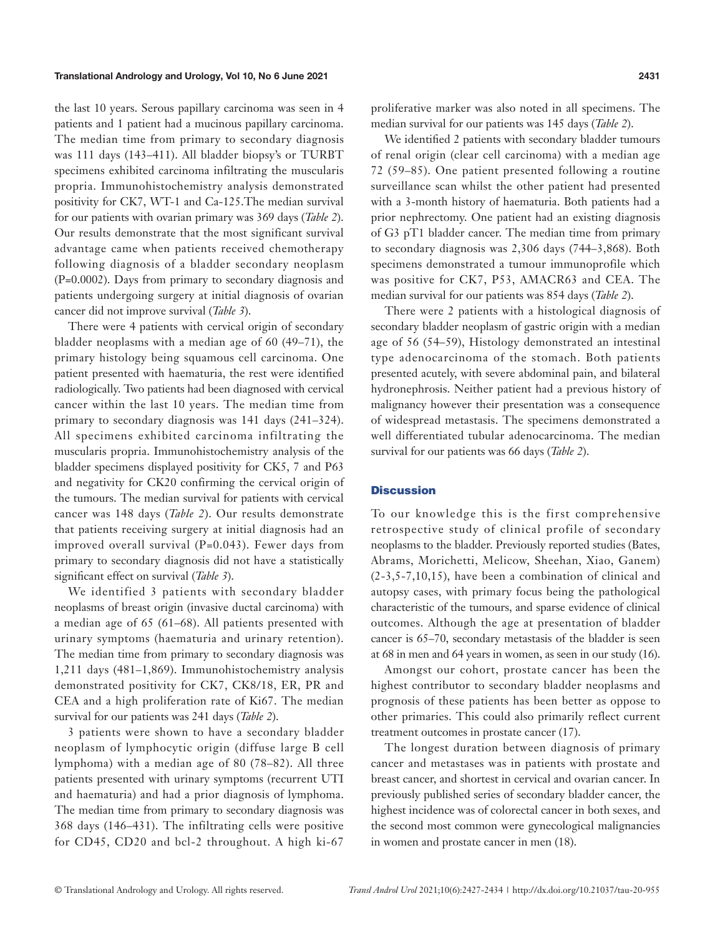#### Translational Andrology and Urology, Vol 10, No 6 June 2021 **2431**

the last 10 years. Serous papillary carcinoma was seen in 4 patients and 1 patient had a mucinous papillary carcinoma. The median time from primary to secondary diagnosis was 111 days (143–411). All bladder biopsy's or TURBT specimens exhibited carcinoma infiltrating the muscularis propria. Immunohistochemistry analysis demonstrated positivity for CK7, WT-1 and Ca-125.The median survival for our patients with ovarian primary was 369 days (*Table 2*). Our results demonstrate that the most significant survival advantage came when patients received chemotherapy following diagnosis of a bladder secondary neoplasm (P=0.0002). Days from primary to secondary diagnosis and patients undergoing surgery at initial diagnosis of ovarian cancer did not improve survival (*Table 3*).

There were 4 patients with cervical origin of secondary bladder neoplasms with a median age of 60 (49–71), the primary histology being squamous cell carcinoma. One patient presented with haematuria, the rest were identified radiologically. Two patients had been diagnosed with cervical cancer within the last 10 years. The median time from primary to secondary diagnosis was 141 days (241–324). All specimens exhibited carcinoma infiltrating the muscularis propria. Immunohistochemistry analysis of the bladder specimens displayed positivity for CK5, 7 and P63 and negativity for CK20 confirming the cervical origin of the tumours. The median survival for patients with cervical cancer was 148 days (*Table 2*). Our results demonstrate that patients receiving surgery at initial diagnosis had an improved overall survival (P=0.043). Fewer days from primary to secondary diagnosis did not have a statistically significant effect on survival (*Table 3*).

We identified 3 patients with secondary bladder neoplasms of breast origin (invasive ductal carcinoma) with a median age of 65 (61–68). All patients presented with urinary symptoms (haematuria and urinary retention). The median time from primary to secondary diagnosis was 1,211 days (481–1,869). Immunohistochemistry analysis demonstrated positivity for CK7, CK8/18, ER, PR and CEA and a high proliferation rate of Ki67. The median survival for our patients was 241 days (*Table 2*).

3 patients were shown to have a secondary bladder neoplasm of lymphocytic origin (diffuse large B cell lymphoma) with a median age of 80 (78–82). All three patients presented with urinary symptoms (recurrent UTI and haematuria) and had a prior diagnosis of lymphoma. The median time from primary to secondary diagnosis was 368 days (146–431). The infiltrating cells were positive for CD45, CD20 and bcl-2 throughout. A high ki-67

proliferative marker was also noted in all specimens. The median survival for our patients was 145 days (*Table 2*).

We identified 2 patients with secondary bladder tumours of renal origin (clear cell carcinoma) with a median age 72 (59–85). One patient presented following a routine surveillance scan whilst the other patient had presented with a 3-month history of haematuria. Both patients had a prior nephrectomy. One patient had an existing diagnosis of G3 pT1 bladder cancer. The median time from primary to secondary diagnosis was 2,306 days (744–3,868). Both specimens demonstrated a tumour immunoprofile which was positive for CK7, P53, AMACR63 and CEA. The median survival for our patients was 854 days (*Table 2*).

There were 2 patients with a histological diagnosis of secondary bladder neoplasm of gastric origin with a median age of 56 (54–59), Histology demonstrated an intestinal type adenocarcinoma of the stomach. Both patients presented acutely, with severe abdominal pain, and bilateral hydronephrosis. Neither patient had a previous history of malignancy however their presentation was a consequence of widespread metastasis. The specimens demonstrated a well differentiated tubular adenocarcinoma. The median survival for our patients was 66 days (*Table 2*).

#### **Discussion**

To our knowledge this is the first comprehensive retrospective study of clinical profile of secondary neoplasms to the bladder. Previously reported studies (Bates, Abrams, Morichetti, Melicow, Sheehan, Xiao, Ganem) (2-3,5-7,10,15), have been a combination of clinical and autopsy cases, with primary focus being the pathological characteristic of the tumours, and sparse evidence of clinical outcomes. Although the age at presentation of bladder cancer is 65–70, secondary metastasis of the bladder is seen at 68 in men and 64 years in women, as seen in our study (16).

Amongst our cohort, prostate cancer has been the highest contributor to secondary bladder neoplasms and prognosis of these patients has been better as oppose to other primaries. This could also primarily reflect current treatment outcomes in prostate cancer (17).

The longest duration between diagnosis of primary cancer and metastases was in patients with prostate and breast cancer, and shortest in cervical and ovarian cancer. In previously published series of secondary bladder cancer, the highest incidence was of colorectal cancer in both sexes, and the second most common were gynecological malignancies in women and prostate cancer in men (18).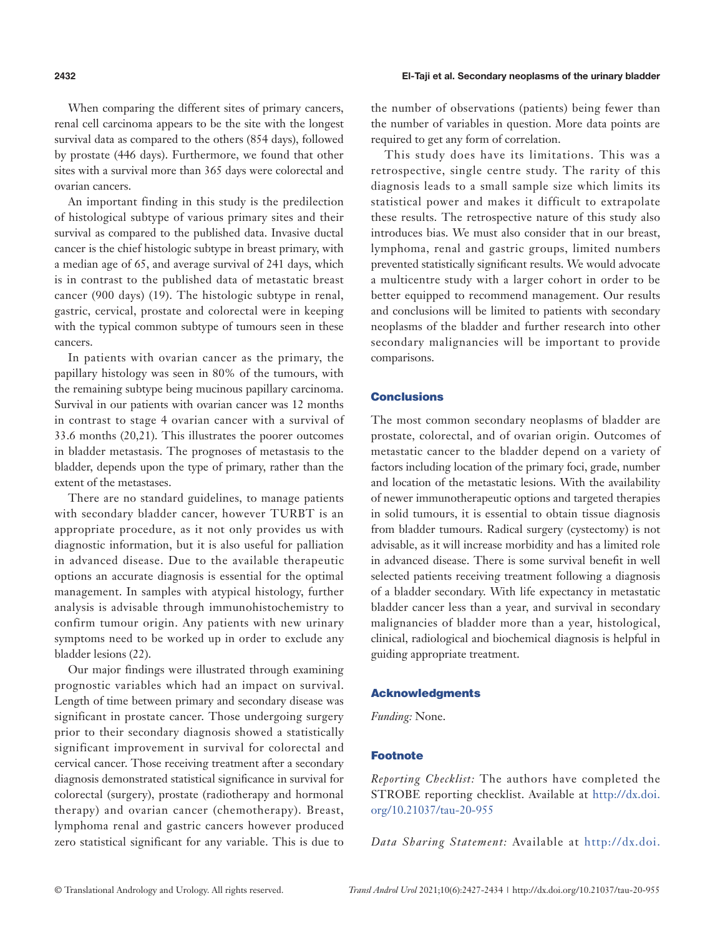#### **2432** El-Taji et al. Secondary neoplasms of the urinary bladder

When comparing the different sites of primary cancers, renal cell carcinoma appears to be the site with the longest survival data as compared to the others (854 days), followed by prostate (446 days). Furthermore, we found that other sites with a survival more than 365 days were colorectal and ovarian cancers.

An important finding in this study is the predilection of histological subtype of various primary sites and their survival as compared to the published data. Invasive ductal cancer is the chief histologic subtype in breast primary, with a median age of 65, and average survival of 241 days, which is in contrast to the published data of metastatic breast cancer (900 days) (19). The histologic subtype in renal, gastric, cervical, prostate and colorectal were in keeping with the typical common subtype of tumours seen in these cancers.

In patients with ovarian cancer as the primary, the papillary histology was seen in 80% of the tumours, with the remaining subtype being mucinous papillary carcinoma. Survival in our patients with ovarian cancer was 12 months in contrast to stage 4 ovarian cancer with a survival of 33.6 months (20,21). This illustrates the poorer outcomes in bladder metastasis. The prognoses of metastasis to the bladder, depends upon the type of primary, rather than the extent of the metastases.

There are no standard guidelines, to manage patients with secondary bladder cancer, however TURBT is an appropriate procedure, as it not only provides us with diagnostic information, but it is also useful for palliation in advanced disease. Due to the available therapeutic options an accurate diagnosis is essential for the optimal management. In samples with atypical histology, further analysis is advisable through immunohistochemistry to confirm tumour origin. Any patients with new urinary symptoms need to be worked up in order to exclude any bladder lesions (22).

Our major findings were illustrated through examining prognostic variables which had an impact on survival. Length of time between primary and secondary disease was significant in prostate cancer. Those undergoing surgery prior to their secondary diagnosis showed a statistically significant improvement in survival for colorectal and cervical cancer. Those receiving treatment after a secondary diagnosis demonstrated statistical significance in survival for colorectal (surgery), prostate (radiotherapy and hormonal therapy) and ovarian cancer (chemotherapy). Breast, lymphoma renal and gastric cancers however produced zero statistical significant for any variable. This is due to the number of observations (patients) being fewer than the number of variables in question. More data points are required to get any form of correlation.

This study does have its limitations. This was a retrospective, single centre study. The rarity of this diagnosis leads to a small sample size which limits its statistical power and makes it difficult to extrapolate these results. The retrospective nature of this study also introduces bias. We must also consider that in our breast, lymphoma, renal and gastric groups, limited numbers prevented statistically significant results. We would advocate a multicentre study with a larger cohort in order to be better equipped to recommend management. Our results and conclusions will be limited to patients with secondary neoplasms of the bladder and further research into other secondary malignancies will be important to provide comparisons.

#### **Conclusions**

The most common secondary neoplasms of bladder are prostate, colorectal, and of ovarian origin. Outcomes of metastatic cancer to the bladder depend on a variety of factors including location of the primary foci, grade, number and location of the metastatic lesions. With the availability of newer immunotherapeutic options and targeted therapies in solid tumours, it is essential to obtain tissue diagnosis from bladder tumours. Radical surgery (cystectomy) is not advisable, as it will increase morbidity and has a limited role in advanced disease. There is some survival benefit in well selected patients receiving treatment following a diagnosis of a bladder secondary. With life expectancy in metastatic bladder cancer less than a year, and survival in secondary malignancies of bladder more than a year, histological, clinical, radiological and biochemical diagnosis is helpful in guiding appropriate treatment.

#### Acknowledgments

*Funding:* None.

#### Footnote

*Reporting Checklist:* The authors have completed the STROBE reporting checklist. Available at [http://dx.doi.](http://dx.doi.org/10.21037/tau-20-955) [org/10.21037/tau-20-955](http://dx.doi.org/10.21037/tau-20-955)

*Data Sharing Statement:* Available at [http://dx.doi.](http://dx.doi.org/10.21037/tau-20-955)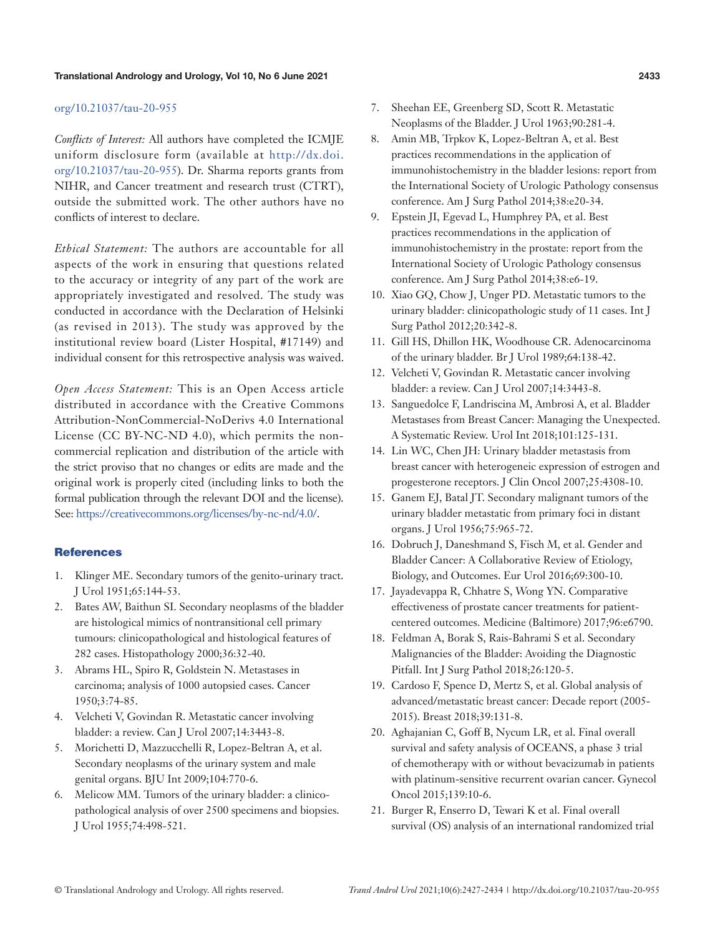#### [org/10.21037/tau-20-955](http://dx.doi.org/10.21037/tau-20-955)

*Conflicts of Interest:* All authors have completed the ICMJE uniform disclosure form (available at [http://dx.doi.](http://dx.doi.org/10.21037/tau-20-955) [org/10.21037/tau-20-955\)](http://dx.doi.org/10.21037/tau-20-955). Dr. Sharma reports grants from NIHR, and Cancer treatment and research trust (CTRT), outside the submitted work. The other authors have no conflicts of interest to declare.

*Ethical Statement:* The authors are accountable for all aspects of the work in ensuring that questions related to the accuracy or integrity of any part of the work are appropriately investigated and resolved. The study was conducted in accordance with the Declaration of Helsinki (as revised in 2013). The study was approved by the institutional review board (Lister Hospital, #17149) and individual consent for this retrospective analysis was waived.

*Open Access Statement:* This is an Open Access article distributed in accordance with the Creative Commons Attribution-NonCommercial-NoDerivs 4.0 International License (CC BY-NC-ND 4.0), which permits the noncommercial replication and distribution of the article with the strict proviso that no changes or edits are made and the original work is properly cited (including links to both the formal publication through the relevant DOI and the license). See: [https://creativecommons.org/licenses/by-nc-nd/4.0/.](https://creativecommons.org/licenses/by-nc-nd/4.0/)

#### **References**

- 1. Klinger ME. Secondary tumors of the genito-urinary tract. J Urol 1951;65:144-53.
- 2. Bates AW, Baithun SI. Secondary neoplasms of the bladder are histological mimics of nontransitional cell primary tumours: clinicopathological and histological features of 282 cases. Histopathology 2000;36:32-40.
- 3. Abrams HL, Spiro R, Goldstein N. Metastases in carcinoma; analysis of 1000 autopsied cases. Cancer 1950;3:74-85.
- 4. Velcheti V, Govindan R. Metastatic cancer involving bladder: a review. Can J Urol 2007;14:3443-8.
- 5. Morichetti D, Mazzucchelli R, Lopez-Beltran A, et al. Secondary neoplasms of the urinary system and male genital organs. BJU Int 2009;104:770-6.
- 6. Melicow MM. Tumors of the urinary bladder: a clinicopathological analysis of over 2500 specimens and biopsies. J Urol 1955;74:498-521.
- 7. Sheehan EE, Greenberg SD, Scott R. Metastatic Neoplasms of the Bladder. J Urol 1963;90:281-4.
- 8. Amin MB, Trpkov K, Lopez-Beltran A, et al. Best practices recommendations in the application of immunohistochemistry in the bladder lesions: report from the International Society of Urologic Pathology consensus conference. Am J Surg Pathol 2014;38:e20-34.
- 9. Epstein JI, Egevad L, Humphrey PA, et al. Best practices recommendations in the application of immunohistochemistry in the prostate: report from the International Society of Urologic Pathology consensus conference. Am J Surg Pathol 2014;38:e6-19.
- 10. Xiao GQ, Chow J, Unger PD. Metastatic tumors to the urinary bladder: clinicopathologic study of 11 cases. Int J Surg Pathol 2012;20:342-8.
- 11. Gill HS, Dhillon HK, Woodhouse CR. Adenocarcinoma of the urinary bladder. Br J Urol 1989;64:138-42.
- 12. Velcheti V, Govindan R. Metastatic cancer involving bladder: a review. Can J Urol 2007;14:3443-8.
- 13. Sanguedolce F, Landriscina M, Ambrosi A, et al. Bladder Metastases from Breast Cancer: Managing the Unexpected. A Systematic Review. Urol Int 2018;101:125-131.
- 14. Lin WC, Chen JH: Urinary bladder metastasis from breast cancer with heterogeneic expression of estrogen and progesterone receptors. J Clin Oncol 2007;25:4308-10.
- 15. Ganem EJ, Batal JT. Secondary malignant tumors of the urinary bladder metastatic from primary foci in distant organs. J Urol 1956;75:965-72.
- 16. Dobruch J, Daneshmand S, Fisch M, et al. Gender and Bladder Cancer: A Collaborative Review of Etiology, Biology, and Outcomes. Eur Urol 2016;69:300-10.
- 17. Jayadevappa R, Chhatre S, Wong YN. Comparative effectiveness of prostate cancer treatments for patientcentered outcomes. Medicine (Baltimore) 2017;96:e6790.
- 18. Feldman A, Borak S, Rais-Bahrami S et al. Secondary Malignancies of the Bladder: Avoiding the Diagnostic Pitfall. Int J Surg Pathol 2018;26:120-5.
- 19. Cardoso F, Spence D, Mertz S, et al. Global analysis of advanced/metastatic breast cancer: Decade report (2005- 2015). Breast 2018;39:131-8.
- 20. Aghajanian C, Goff B, Nycum LR, et al. Final overall survival and safety analysis of OCEANS, a phase 3 trial of chemotherapy with or without bevacizumab in patients with platinum-sensitive recurrent ovarian cancer. Gynecol Oncol 2015;139:10-6.
- 21. Burger R, Enserro D, Tewari K et al. Final overall survival (OS) analysis of an international randomized trial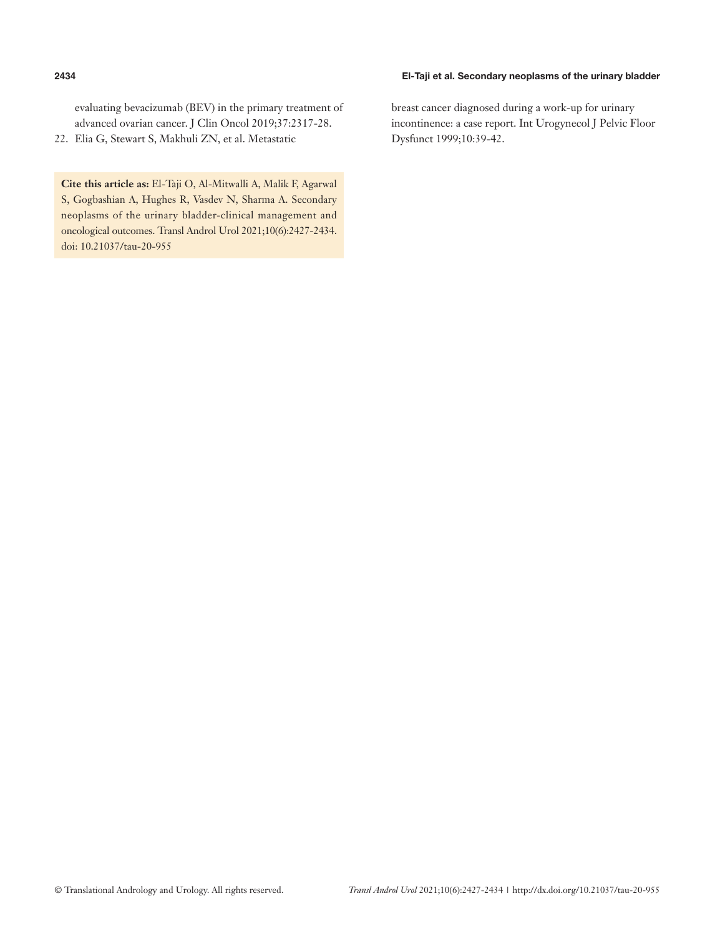### **2434** El-Taji et al. Secondary neoplasms of the urinary bladder

evaluating bevacizumab (BEV) in the primary treatment of advanced ovarian cancer. J Clin Oncol 2019;37:2317-28.

22. Elia G, Stewart S, Makhuli ZN, et al. Metastatic

**Cite this article as:** El-Taji O, Al-Mitwalli A, Malik F, Agarwal S, Gogbashian A, Hughes R, Vasdev N, Sharma A. Secondary neoplasms of the urinary bladder-clinical management and oncological outcomes. Transl Androl Urol 2021;10(6):2427-2434. doi: 10.21037/tau-20-955

breast cancer diagnosed during a work-up for urinary incontinence: a case report. Int Urogynecol J Pelvic Floor Dysfunct 1999;10:39-42.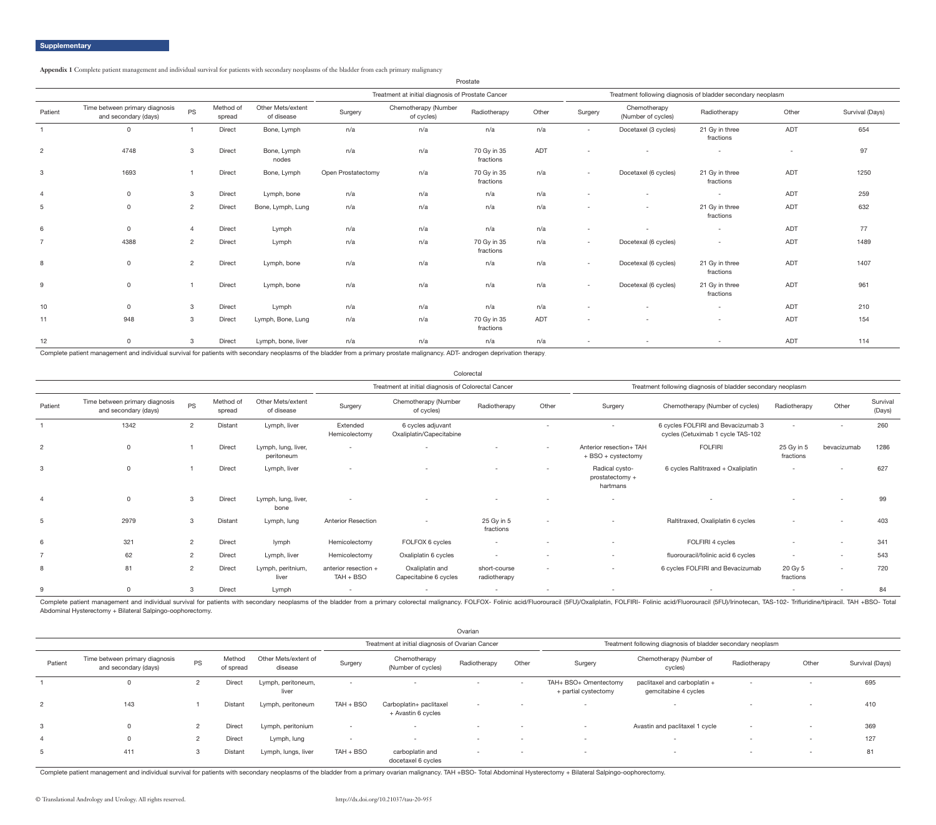**Appendix 1** Complete patient management and individual survival for patients with secondary neoplasms of the bladder from each primary malignancy

|                |                                                        |                |                     |                                 |                    |                                                   | Prostate                 |            |                          |                                                             |                             |            |                 |
|----------------|--------------------------------------------------------|----------------|---------------------|---------------------------------|--------------------|---------------------------------------------------|--------------------------|------------|--------------------------|-------------------------------------------------------------|-----------------------------|------------|-----------------|
|                |                                                        |                |                     |                                 |                    | Treatment at initial diagnosis of Prostate Cancer |                          |            |                          | Treatment following diagnosis of bladder secondary neoplasm |                             |            |                 |
| Patient        | Time between primary diagnosis<br>and secondary (days) | <b>PS</b>      | Method of<br>spread | Other Mets/extent<br>of disease | Surgery            | Chemotherapy (Number<br>of cycles)                | Radiotherapy             | Other      | Surgery                  | Chemotherapy<br>(Number of cycles)                          | Radiotherapy                | Other      | Survival (Days) |
| $\overline{1}$ | $\Omega$                                               |                | <b>Direct</b>       | Bone, Lymph                     | n/a                | n/a                                               | n/a                      | n/a        | $\sim$ 10 $\pm$          | Docetaxel (3 cycles)                                        | 21 Gy in three<br>fractions | <b>ADT</b> | 654             |
| 2              | 4748                                                   | 3              | Direct              | Bone, Lymph<br>nodes            | n/a                | n/a                                               | 70 Gy in 35<br>fractions | <b>ADT</b> |                          | ۰.                                                          | $\overline{\phantom{a}}$    | $\sim$     | 97              |
| 3              | 1693                                                   |                | Direct              | Bone, Lymph                     | Open Prostatectomy | n/a                                               | 70 Gy in 35<br>fractions | n/a        | $\sim$                   | Docetaxel (6 cycles)                                        | 21 Gy in three<br>fractions | <b>ADT</b> | 1250            |
| $\overline{4}$ | $\mathsf{O}$                                           | 3              | Direct              | Lymph, bone                     | n/a                | n/a                                               | n/a                      | n/a        |                          | $\sim$                                                      | $\sim$                      | <b>ADT</b> | 259             |
| 5              | $\Omega$                                               | 2              | Direct              | Bone, Lymph, Lung               | n/a                | n/a                                               | n/a                      | n/a        |                          | $\sim$                                                      | 21 Gy in three<br>fractions | <b>ADT</b> | 632             |
| 6              | $\Omega$                                               | $\overline{4}$ | Direct              | Lymph                           | n/a                | n/a                                               | n/a                      | n/a        |                          |                                                             | $\sim$                      | <b>ADT</b> | 77              |
| $\overline{7}$ | 4388                                                   | $\overline{2}$ | Direct              | Lymph                           | n/a                | n/a                                               | 70 Gy in 35<br>fractions | n/a        | $\sim$                   | Docetexal (6 cycles)                                        | $\overline{\phantom{a}}$    | <b>ADT</b> | 1489            |
| 8              | $\mathbf 0$                                            | 2              | Direct              | Lymph, bone                     | n/a                | n/a                                               | n/a                      | n/a        | $\sim$                   | Docetexal (6 cycles)                                        | 21 Gy in three<br>fractions | <b>ADT</b> | 1407            |
| 9              | $\Omega$                                               |                | Direct              | Lymph, bone                     | n/a                | n/a                                               | n/a                      | n/a        | $\sim$                   | Docetexal (6 cycles)                                        | 21 Gy in three<br>fractions | <b>ADT</b> | 961             |
| 10             | $\mathbf 0$                                            | 3              | Direct              | Lymph                           | n/a                | n/a                                               | n/a                      | n/a        |                          |                                                             | $\sim$                      | <b>ADT</b> | 210             |
| 11             | 948                                                    | $\mathbf{3}$   | Direct              | Lymph, Bone, Lung               | n/a                | n/a                                               | 70 Gy in 35<br>fractions | <b>ADT</b> |                          |                                                             | $\sim$                      | <b>ADT</b> | 154             |
| 12             | $\Omega$                                               | 3              | Direct              | Lymph, bone, liver              | n/a                | n/a                                               | n/a                      | n/a        | $\overline{\phantom{a}}$ |                                                             | $\sim$                      | <b>ADT</b> | 114             |
|                | .                                                      |                |                     |                                 |                    |                                                   |                          |            |                          |                                                             |                             |            |                 |

Complete patient management and individual survival for patients with secondary neoplasms of the bladder from a primary prostate malignancy. ADT- androgen deprivation therapy.

Complete patient management and individual survival for patients with secondary neoplasms of the bladder from a primary colorectal malignancy. FOLFOX- Folinic acid/Fluorouracil (5FU)/Oxaliplatin, FOLFIRI- Folinic acid/Fluo Abdominal Hysterectomy + Bilateral Salpingo-oophorectomy.

|                |                                                        |                |                     |                                   |                                     | Colorectal                                          |                              |       |                                               |                                                                         |                          |                          |                    |
|----------------|--------------------------------------------------------|----------------|---------------------|-----------------------------------|-------------------------------------|-----------------------------------------------------|------------------------------|-------|-----------------------------------------------|-------------------------------------------------------------------------|--------------------------|--------------------------|--------------------|
|                |                                                        |                |                     |                                   |                                     | Treatment at initial diagnosis of Colorectal Cancer |                              |       |                                               | Treatment following diagnosis of bladder secondary neoplasm             |                          |                          |                    |
| Patient        | Time between primary diagnosis<br>and secondary (days) | <b>PS</b>      | Method of<br>spread | Other Mets/extent<br>of disease   | Surgery                             | Chemotherapy (Number<br>of cycles)                  | Radiotherapy                 | Other | Surgery                                       | Chemotherapy (Number of cycles)                                         | Radiotherapy             | Other                    | Survival<br>(Days) |
|                | 1342                                                   | 2              | Distant             | Lymph, liver                      | Extended<br>Hemicolectomy           | 6 cycles adjuvant<br>Oxaliplatin/Capecitabine       |                              |       |                                               | 6 cycles FOLFIRI and Bevacizumab 3<br>cycles (Cetuximab 1 cycle TAS-102 |                          |                          | 260                |
| $\overline{2}$ |                                                        |                | Direct              | Lymph, lung, liver,<br>peritoneum | $\overline{\phantom{a}}$            |                                                     |                              | $-$   | Anterior resection+ TAH<br>+ BSO + cystectomy | <b>FOLFIRI</b>                                                          | 25 Gy in 5<br>fractions  | bevacizumab              | 1286               |
| 3              |                                                        |                | Direct              | Lymph, liver                      | ۰                                   |                                                     |                              |       | Radical cysto-<br>prostatectomy +<br>hartmans | 6 cycles Raltitraxed + Oxaliplatin                                      | $\overline{\phantom{a}}$ |                          | 627                |
|                |                                                        | 3              | Direct              | Lymph, lung, liver,<br>bone       | $\overline{\phantom{a}}$            |                                                     |                              |       |                                               |                                                                         |                          |                          | 99                 |
| 5              | 2979                                                   | 3              | Distant             | Lymph, lung                       | <b>Anterior Resection</b>           |                                                     | 25 Gy in 5<br>fractions      |       |                                               | Raltitraxed, Oxaliplatin 6 cycles                                       |                          |                          | 403                |
| 6              | 321                                                    | 2              | Direct              | lymph                             | Hemicolectomy                       | FOLFOX 6 cycles                                     | $\sim$                       |       | $\overline{\phantom{a}}$                      | FOLFIRI 4 cycles                                                        |                          | $\overline{\phantom{a}}$ | 341                |
|                | 62                                                     | 2              | Direct              | Lymph, liver                      | Hemicolectomy                       | Oxaliplatin 6 cycles                                |                              |       | $\overline{\phantom{a}}$                      | fluorouracil/folinic acid 6 cycles                                      | $\sim$                   | $\overline{\phantom{0}}$ | 543                |
| 8              | 81                                                     | $\overline{2}$ | Direct              | Lymph, peritnium,<br>liver        | anterior resection +<br>$TAH + BSO$ | Oxaliplatin and<br>Capecitabine 6 cycles            | short-course<br>radiotherapy |       | $\overline{\phantom{a}}$                      | 6 cycles FOLFIRI and Bevacizumab                                        | 20 Gy 5<br>fractions     | $\overline{\phantom{0}}$ | 720                |
| 9              |                                                        | 3              | Direct              | Lymph                             | $\overline{\phantom{a}}$            |                                                     |                              |       |                                               |                                                                         |                          |                          | 84                 |

|         |                                                        |           |                     |                                 |                          |                                                  | Ovarian                  |                          |                                               |                                                             |              |                          |                 |
|---------|--------------------------------------------------------|-----------|---------------------|---------------------------------|--------------------------|--------------------------------------------------|--------------------------|--------------------------|-----------------------------------------------|-------------------------------------------------------------|--------------|--------------------------|-----------------|
|         |                                                        |           |                     |                                 |                          | Treatment at initial diagnosis of Ovarian Cancer |                          |                          |                                               | Treatment following diagnosis of bladder secondary neoplasm |              |                          |                 |
| Patient | Time between primary diagnosis<br>and secondary (days) | <b>PS</b> | Method<br>of spread | Other Mets/extent of<br>disease | Surgery                  | Chemotherapy<br>(Number of cycles)               | Radiotherapy             | Other                    | Surgery                                       | Chemotherapy (Number of<br>cycles)                          | Radiotherapy | Other                    | Survival (Days) |
|         |                                                        |           | <b>Direct</b>       | Lymph, peritoneum,<br>liver     | $\sim$                   |                                                  |                          | $\sim$                   | TAH+ BSO+ Omentectomy<br>+ partial cystectomy | paclitaxel and carboplatin +<br>gemcitabine 4 cycles        | $\sim$       | $\sim$                   | 695             |
| 2       | 143                                                    |           | Distant             | Lymph, peritoneum               | TAH + BSO                | Carboplatin+ paclitaxel<br>+ Avastin 6 cycles    | $\sim$                   | $\sim$                   | $\sim$                                        | $\sim$                                                      |              | $\sim$                   | 410             |
| 3       |                                                        |           | <b>Direct</b>       | Lymph, peritonium               | $\sim$                   |                                                  | $\overline{\phantom{0}}$ | $\sim$                   | $\sim$                                        | Avastin and paclitaxel 1 cycle                              |              | $-$                      | 369             |
|         | 0                                                      |           | <b>Direct</b>       | Lymph, lung                     | $\overline{\phantom{a}}$ | $\sim$                                           | $\overline{\phantom{a}}$ | $\overline{\phantom{0}}$ | $\overline{\phantom{a}}$                      |                                                             |              |                          | 127             |
|         | 411                                                    |           | Distant             | Lymph, lungs, liver             | TAH + BSO                | carboplatin and<br>docetaxel 6 cycles            | $\sim$                   | $\overline{\phantom{a}}$ | $\overline{\phantom{a}}$                      | $\overline{\phantom{a}}$                                    |              | $\overline{\phantom{0}}$ | 81              |

Complete patient management and individual survival for patients with secondary neoplasms of the bladder from a primary ovarian malignancy. TAH +BSO- Total Abdominal Hysterectomy + Bilateral Salpingo-oophorectomy.